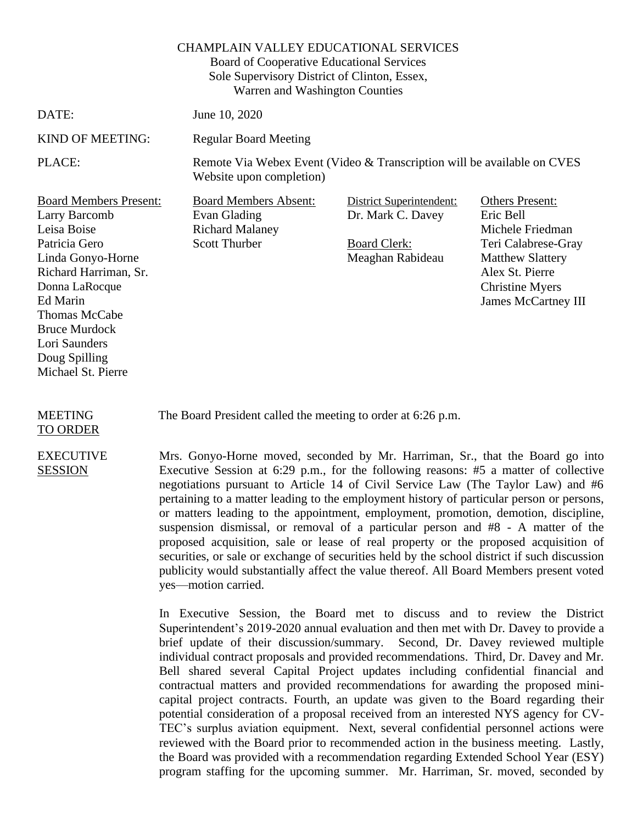## CHAMPLAIN VALLEY EDUCATIONAL SERVICES

Board of Cooperative Educational Services Sole Supervisory District of Clinton, Essex, Warren and Washington Counties

DATE: June 10, 2020

KIND OF MEETING: Regular Board Meeting

PLACE: Remote Via Webex Event (Video & Transcription will be available on CVES Website upon completion)

Board Members Present: Board Members Absent: District Superintendent: Others Present: Larry Barcomb Leisa Boise Patricia Gero Linda Gonyo-Horne Richard Harriman, Sr. Donna LaRocque Ed Marin Thomas McCabe Bruce Murdock Lori Saunders Doug Spilling Michael St. Pierre

Evan Glading Richard Malaney Scott Thurber

Dr. Mark C. Davey

Board Clerk: Meaghan Rabideau Eric Bell Michele Friedman Teri Calabrese-Gray Matthew Slattery Alex St. Pierre Christine Myers James McCartney III

MEETING TO ORDER

EXECUTIVE SESSION

The Board President called the meeting to order at 6:26 p.m.

Mrs. Gonyo-Horne moved, seconded by Mr. Harriman, Sr., that the Board go into Executive Session at 6:29 p.m., for the following reasons: #5 a matter of collective negotiations pursuant to Article 14 of Civil Service Law (The Taylor Law) and #6 pertaining to a matter leading to the employment history of particular person or persons, or matters leading to the appointment, employment, promotion, demotion, discipline, suspension dismissal, or removal of a particular person and #8 - A matter of the proposed acquisition, sale or lease of real property or the proposed acquisition of securities, or sale or exchange of securities held by the school district if such discussion publicity would substantially affect the value thereof. All Board Members present voted yes—motion carried.

In Executive Session, the Board met to discuss and to review the District Superintendent's 2019-2020 annual evaluation and then met with Dr. Davey to provide a brief update of their discussion/summary. Second, Dr. Davey reviewed multiple individual contract proposals and provided recommendations. Third, Dr. Davey and Mr. Bell shared several Capital Project updates including confidential financial and contractual matters and provided recommendations for awarding the proposed minicapital project contracts. Fourth, an update was given to the Board regarding their potential consideration of a proposal received from an interested NYS agency for CV-TEC's surplus aviation equipment. Next, several confidential personnel actions were reviewed with the Board prior to recommended action in the business meeting. Lastly, the Board was provided with a recommendation regarding Extended School Year (ESY) program staffing for the upcoming summer. Mr. Harriman, Sr. moved, seconded by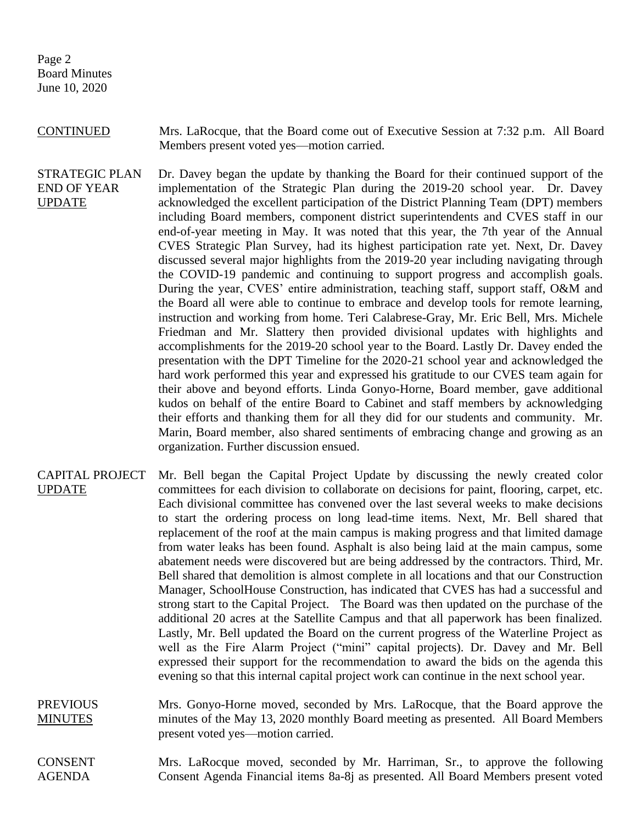Page 2 Board Minutes June 10, 2020

CONTINUED Mrs. LaRocque, that the Board come out of Executive Session at 7:32 p.m. All Board Members present voted yes—motion carried.

STRATEGIC PLAN END OF YEAR UPDATE Dr. Davey began the update by thanking the Board for their continued support of the implementation of the Strategic Plan during the 2019-20 school year. Dr. Davey acknowledged the excellent participation of the District Planning Team (DPT) members including Board members, component district superintendents and CVES staff in our end-of-year meeting in May. It was noted that this year, the 7th year of the Annual CVES Strategic Plan Survey, had its highest participation rate yet. Next, Dr. Davey discussed several major highlights from the 2019-20 year including navigating through the COVID-19 pandemic and continuing to support progress and accomplish goals. During the year, CVES' entire administration, teaching staff, support staff, O&M and the Board all were able to continue to embrace and develop tools for remote learning, instruction and working from home. Teri Calabrese-Gray, Mr. Eric Bell, Mrs. Michele Friedman and Mr. Slattery then provided divisional updates with highlights and accomplishments for the 2019-20 school year to the Board. Lastly Dr. Davey ended the presentation with the DPT Timeline for the 2020-21 school year and acknowledged the hard work performed this year and expressed his gratitude to our CVES team again for their above and beyond efforts. Linda Gonyo-Horne, Board member, gave additional kudos on behalf of the entire Board to Cabinet and staff members by acknowledging their efforts and thanking them for all they did for our students and community. Mr. Marin, Board member, also shared sentiments of embracing change and growing as an organization. Further discussion ensued.

- CAPITAL PROJECT UPDATE Mr. Bell began the Capital Project Update by discussing the newly created color committees for each division to collaborate on decisions for paint, flooring, carpet, etc. Each divisional committee has convened over the last several weeks to make decisions to start the ordering process on long lead-time items. Next, Mr. Bell shared that replacement of the roof at the main campus is making progress and that limited damage from water leaks has been found. Asphalt is also being laid at the main campus, some abatement needs were discovered but are being addressed by the contractors. Third, Mr. Bell shared that demolition is almost complete in all locations and that our Construction Manager, SchoolHouse Construction, has indicated that CVES has had a successful and strong start to the Capital Project. The Board was then updated on the purchase of the additional 20 acres at the Satellite Campus and that all paperwork has been finalized. Lastly, Mr. Bell updated the Board on the current progress of the Waterline Project as well as the Fire Alarm Project ("mini" capital projects). Dr. Davey and Mr. Bell expressed their support for the recommendation to award the bids on the agenda this evening so that this internal capital project work can continue in the next school year.
- **PREVIOUS MINUTES** Mrs. Gonyo-Horne moved, seconded by Mrs. LaRocque, that the Board approve the minutes of the May 13, 2020 monthly Board meeting as presented. All Board Members present voted yes—motion carried.

CONSENT AGENDA Mrs. LaRocque moved, seconded by Mr. Harriman, Sr., to approve the following Consent Agenda Financial items 8a-8j as presented. All Board Members present voted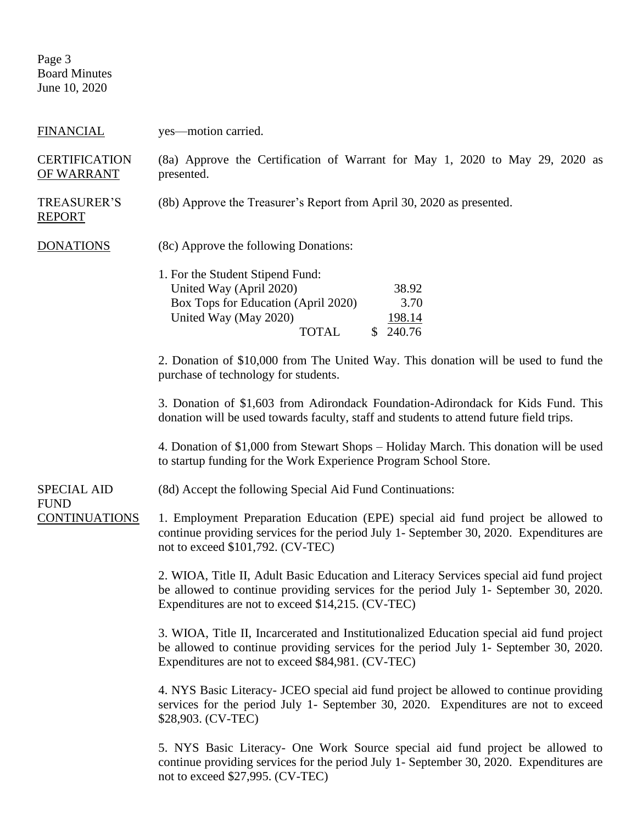Page 3 Board Minutes June 10, 2020

| <b>FINANCIAL</b>                    | yes—motion carried.                                                                                                                                                                                                                   |  |  |
|-------------------------------------|---------------------------------------------------------------------------------------------------------------------------------------------------------------------------------------------------------------------------------------|--|--|
| <b>CERTIFICATION</b><br>OF WARRANT  | (8a) Approve the Certification of Warrant for May 1, 2020 to May 29, 2020 as<br>presented.                                                                                                                                            |  |  |
| <b>TREASURER'S</b><br><b>REPORT</b> | (8b) Approve the Treasurer's Report from April 30, 2020 as presented.                                                                                                                                                                 |  |  |
| <b>DONATIONS</b>                    | (8c) Approve the following Donations:                                                                                                                                                                                                 |  |  |
|                                     | 1. For the Student Stipend Fund:<br>United Way (April 2020)<br>38.92<br>Box Tops for Education (April 2020)<br>3.70<br>United Way (May 2020)<br>198.14<br><b>TOTAL</b><br>\$240.76                                                    |  |  |
|                                     | 2. Donation of \$10,000 from The United Way. This donation will be used to fund the<br>purchase of technology for students.                                                                                                           |  |  |
|                                     | 3. Donation of \$1,603 from Adirondack Foundation-Adirondack for Kids Fund. This<br>donation will be used towards faculty, staff and students to attend future field trips.                                                           |  |  |
|                                     | 4. Donation of \$1,000 from Stewart Shops – Holiday March. This donation will be used<br>to startup funding for the Work Experience Program School Store.                                                                             |  |  |
| <b>SPECIAL AID</b>                  | (8d) Accept the following Special Aid Fund Continuations:                                                                                                                                                                             |  |  |
| <b>FUND</b><br><b>CONTINUATIONS</b> | 1. Employment Preparation Education (EPE) special aid fund project be allowed to<br>continue providing services for the period July 1- September 30, 2020. Expenditures are<br>not to exceed \$101,792. (CV-TEC)                      |  |  |
|                                     | 2. WIOA, Title II, Adult Basic Education and Literacy Services special aid fund project<br>be allowed to continue providing services for the period July 1- September 30, 2020.<br>Expenditures are not to exceed \$14,215. (CV-TEC)  |  |  |
|                                     | 3. WIOA, Title II, Incarcerated and Institutionalized Education special aid fund project<br>be allowed to continue providing services for the period July 1- September 30, 2020.<br>Expenditures are not to exceed \$84,981. (CV-TEC) |  |  |
|                                     | 4. NYS Basic Literacy- JCEO special aid fund project be allowed to continue providing<br>services for the period July 1- September 30, 2020. Expenditures are not to exceed<br>\$28,903. (CV-TEC)                                     |  |  |
|                                     | 5. NYS Basic Literacy- One Work Source special aid fund project be allowed to<br>continue providing services for the period July 1- September 30, 2020. Expenditures are<br>not to exceed \$27,995. (CV-TEC)                          |  |  |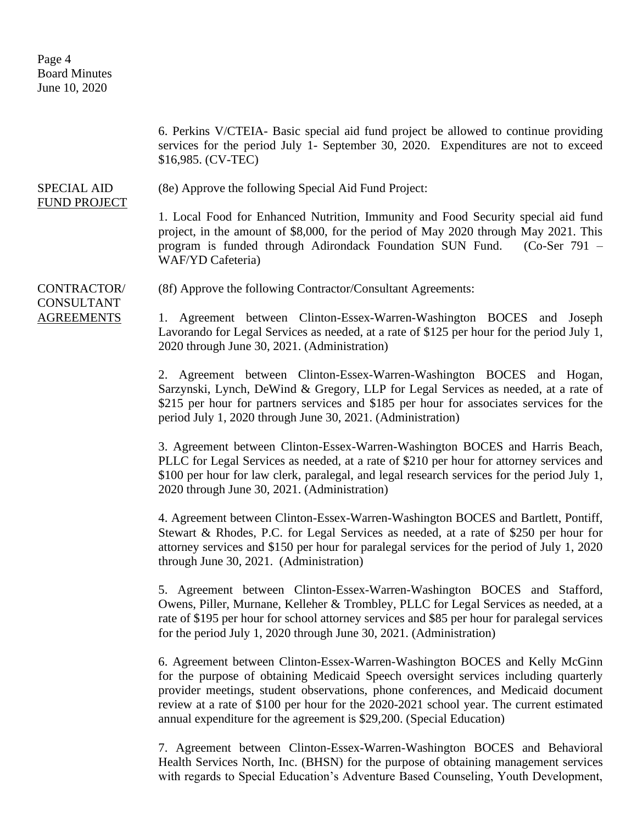Page 4 Board Minutes June 10, 2020

6. Perkins V/CTEIA- Basic special aid fund project be allowed to continue providing services for the period July 1- September 30, 2020. Expenditures are not to exceed \$16,985. (CV-TEC) SPECIAL AID FUND PROJECT (8e) Approve the following Special Aid Fund Project: 1. Local Food for Enhanced Nutrition, Immunity and Food Security special aid fund project, in the amount of \$8,000, for the period of May 2020 through May 2021. This program is funded through Adirondack Foundation SUN Fund. (Co-Ser 791 – WAF/YD Cafeteria) CONTRACTOR/ CONSULTANT AGREEMENTS (8f) Approve the following Contractor/Consultant Agreements: 1. Agreement between Clinton-Essex-Warren-Washington BOCES and Joseph Lavorando for Legal Services as needed, at a rate of \$125 per hour for the period July 1, 2020 through June 30, 2021. (Administration) 2. Agreement between Clinton-Essex-Warren-Washington BOCES and Hogan, Sarzynski, Lynch, DeWind & Gregory, LLP for Legal Services as needed, at a rate of \$215 per hour for partners services and \$185 per hour for associates services for the period July 1, 2020 through June 30, 2021. (Administration) 3. Agreement between Clinton-Essex-Warren-Washington BOCES and Harris Beach, PLLC for Legal Services as needed, at a rate of \$210 per hour for attorney services and \$100 per hour for law clerk, paralegal, and legal research services for the period July 1, 2020 through June 30, 2021. (Administration) 4. Agreement between Clinton-Essex-Warren-Washington BOCES and Bartlett, Pontiff, Stewart & Rhodes, P.C. for Legal Services as needed, at a rate of \$250 per hour for attorney services and \$150 per hour for paralegal services for the period of July 1, 2020 through June 30, 2021. (Administration) 5. Agreement between Clinton-Essex-Warren-Washington BOCES and Stafford, Owens, Piller, Murnane, Kelleher & Trombley, PLLC for Legal Services as needed, at a rate of \$195 per hour for school attorney services and \$85 per hour for paralegal services for the period July 1, 2020 through June 30, 2021. (Administration) 6. Agreement between Clinton-Essex-Warren-Washington BOCES and Kelly McGinn for the purpose of obtaining Medicaid Speech oversight services including quarterly provider meetings, student observations, phone conferences, and Medicaid document review at a rate of \$100 per hour for the 2020-2021 school year. The current estimated annual expenditure for the agreement is \$29,200. (Special Education) 7. Agreement between Clinton-Essex-Warren-Washington BOCES and Behavioral

Health Services North, Inc. (BHSN) for the purpose of obtaining management services with regards to Special Education's Adventure Based Counseling, Youth Development,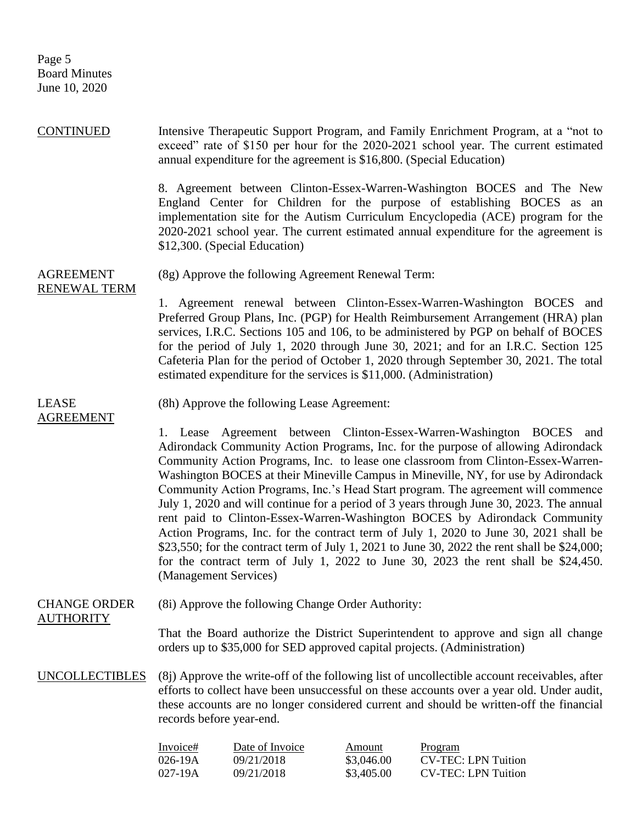Page 5 Board Minutes June 10, 2020

| <b>CONTINUED</b>                        |                                                                                                                                                                  | annual expenditure for the agreement is \$16,800. (Special Education) |                                           | Intensive Therapeutic Support Program, and Family Enrichment Program, at a "not to<br>exceed" rate of \$150 per hour for the 2020-2021 school year. The current estimated                                                                                                                                                                                                                                                                                                                                                                                                                                                                                                                                                                                                                                                                                                               |
|-----------------------------------------|------------------------------------------------------------------------------------------------------------------------------------------------------------------|-----------------------------------------------------------------------|-------------------------------------------|-----------------------------------------------------------------------------------------------------------------------------------------------------------------------------------------------------------------------------------------------------------------------------------------------------------------------------------------------------------------------------------------------------------------------------------------------------------------------------------------------------------------------------------------------------------------------------------------------------------------------------------------------------------------------------------------------------------------------------------------------------------------------------------------------------------------------------------------------------------------------------------------|
|                                         |                                                                                                                                                                  | \$12,300. (Special Education)                                         |                                           | 8. Agreement between Clinton-Essex-Warren-Washington BOCES and The New<br>England Center for Children for the purpose of establishing BOCES as an<br>implementation site for the Autism Curriculum Encyclopedia (ACE) program for the<br>2020-2021 school year. The current estimated annual expenditure for the agreement is                                                                                                                                                                                                                                                                                                                                                                                                                                                                                                                                                           |
| <b>AGREEMENT</b><br>RENEWAL TERM        |                                                                                                                                                                  | (8g) Approve the following Agreement Renewal Term:                    |                                           |                                                                                                                                                                                                                                                                                                                                                                                                                                                                                                                                                                                                                                                                                                                                                                                                                                                                                         |
|                                         |                                                                                                                                                                  | estimated expenditure for the services is \$11,000. (Administration)  |                                           | 1. Agreement renewal between Clinton-Essex-Warren-Washington BOCES and<br>Preferred Group Plans, Inc. (PGP) for Health Reimbursement Arrangement (HRA) plan<br>services, I.R.C. Sections 105 and 106, to be administered by PGP on behalf of BOCES<br>for the period of July 1, 2020 through June 30, 2021; and for an I.R.C. Section 125<br>Cafeteria Plan for the period of October 1, 2020 through September 30, 2021. The total                                                                                                                                                                                                                                                                                                                                                                                                                                                     |
| <b>LEASE</b><br><b>AGREEMENT</b>        |                                                                                                                                                                  | (8h) Approve the following Lease Agreement:                           |                                           |                                                                                                                                                                                                                                                                                                                                                                                                                                                                                                                                                                                                                                                                                                                                                                                                                                                                                         |
|                                         | (Management Services)                                                                                                                                            |                                                                       |                                           | 1. Lease Agreement between Clinton-Essex-Warren-Washington BOCES<br>and<br>Adirondack Community Action Programs, Inc. for the purpose of allowing Adirondack<br>Community Action Programs, Inc. to lease one classroom from Clinton-Essex-Warren-<br>Washington BOCES at their Mineville Campus in Mineville, NY, for use by Adirondack<br>Community Action Programs, Inc.'s Head Start program. The agreement will commence<br>July 1, 2020 and will continue for a period of 3 years through June 30, 2023. The annual<br>rent paid to Clinton-Essex-Warren-Washington BOCES by Adirondack Community<br>Action Programs, Inc. for the contract term of July 1, 2020 to June 30, 2021 shall be<br>\$23,550; for the contract term of July 1, 2021 to June 30, 2022 the rent shall be \$24,000;<br>for the contract term of July 1, 2022 to June 30, 2023 the rent shall be $$24,450$ . |
| <b>CHANGE ORDER</b><br><b>AUTHORITY</b> | (8i) Approve the following Change Order Authority:                                                                                                               |                                                                       |                                           |                                                                                                                                                                                                                                                                                                                                                                                                                                                                                                                                                                                                                                                                                                                                                                                                                                                                                         |
|                                         | That the Board authorize the District Superintendent to approve and sign all change<br>orders up to \$35,000 for SED approved capital projects. (Administration) |                                                                       |                                           |                                                                                                                                                                                                                                                                                                                                                                                                                                                                                                                                                                                                                                                                                                                                                                                                                                                                                         |
| <b>UNCOLLECTIBLES</b>                   | records before year-end.                                                                                                                                         |                                                                       |                                           | (8) Approve the write-off of the following list of uncollectible account receivables, after<br>efforts to collect have been unsuccessful on these accounts over a year old. Under audit,<br>these accounts are no longer considered current and should be written-off the financial                                                                                                                                                                                                                                                                                                                                                                                                                                                                                                                                                                                                     |
|                                         | Invoice#<br>026-19A<br>027-19A                                                                                                                                   | Date of Invoice<br>09/21/2018<br>09/21/2018                           | <b>Amount</b><br>\$3,046.00<br>\$3,405.00 | Program<br><b>CV-TEC: LPN Tuition</b><br><b>CV-TEC: LPN Tuition</b>                                                                                                                                                                                                                                                                                                                                                                                                                                                                                                                                                                                                                                                                                                                                                                                                                     |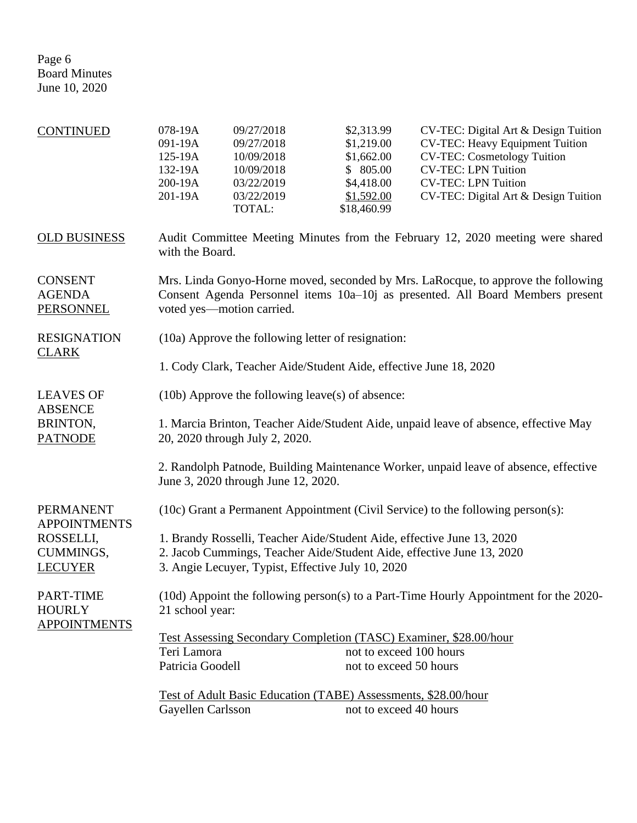| <b>CONTINUED</b>                                    | 078-19A<br>091-19A<br>125-19A<br>132-19A<br>200-19A<br>201-19A                                                         | 09/27/2018<br>09/27/2018<br>10/09/2018<br>10/09/2018<br>03/22/2019<br>03/22/2019<br>TOTAL:                                                                                                       | \$2,313.99<br>\$1,219.00<br>\$1,662.00<br>\$805.00<br>\$4,418.00<br>\$1,592.00<br>\$18,460.99 | CV-TEC: Digital Art & Design Tuition<br><b>CV-TEC: Heavy Equipment Tuition</b><br><b>CV-TEC: Cosmetology Tuition</b><br><b>CV-TEC: LPN Tuition</b><br><b>CV-TEC: LPN Tuition</b><br>CV-TEC: Digital Art & Design Tuition |  |
|-----------------------------------------------------|------------------------------------------------------------------------------------------------------------------------|--------------------------------------------------------------------------------------------------------------------------------------------------------------------------------------------------|-----------------------------------------------------------------------------------------------|--------------------------------------------------------------------------------------------------------------------------------------------------------------------------------------------------------------------------|--|
| <b>OLD BUSINESS</b>                                 | with the Board.                                                                                                        |                                                                                                                                                                                                  |                                                                                               | Audit Committee Meeting Minutes from the February 12, 2020 meeting were shared                                                                                                                                           |  |
| <b>CONSENT</b><br><b>AGENDA</b><br><b>PERSONNEL</b> |                                                                                                                        | Mrs. Linda Gonyo-Horne moved, seconded by Mrs. LaRocque, to approve the following<br>Consent Agenda Personnel items 10a-10j as presented. All Board Members present<br>voted yes—motion carried. |                                                                                               |                                                                                                                                                                                                                          |  |
| <b>RESIGNATION</b>                                  |                                                                                                                        | (10a) Approve the following letter of resignation:                                                                                                                                               |                                                                                               |                                                                                                                                                                                                                          |  |
| <b>CLARK</b>                                        |                                                                                                                        | 1. Cody Clark, Teacher Aide/Student Aide, effective June 18, 2020                                                                                                                                |                                                                                               |                                                                                                                                                                                                                          |  |
| <b>LEAVES OF</b>                                    | $(10b)$ Approve the following leave(s) of absence:                                                                     |                                                                                                                                                                                                  |                                                                                               |                                                                                                                                                                                                                          |  |
| <b>ABSENCE</b><br>BRINTON,<br><b>PATNODE</b>        | 1. Marcia Brinton, Teacher Aide/Student Aide, unpaid leave of absence, effective May<br>20, 2020 through July 2, 2020. |                                                                                                                                                                                                  |                                                                                               |                                                                                                                                                                                                                          |  |
|                                                     |                                                                                                                        | June 3, 2020 through June 12, 2020.                                                                                                                                                              |                                                                                               | 2. Randolph Patnode, Building Maintenance Worker, unpaid leave of absence, effective                                                                                                                                     |  |
| <b>PERMANENT</b><br><b>APPOINTMENTS</b>             |                                                                                                                        |                                                                                                                                                                                                  |                                                                                               | (10c) Grant a Permanent Appointment (Civil Service) to the following person(s):                                                                                                                                          |  |
| ROSSELLI,<br>CUMMINGS,<br><b>LECUYER</b>            |                                                                                                                        |                                                                                                                                                                                                  | 3. Angie Lecuyer, Typist, Effective July 10, 2020                                             | 1. Brandy Rosselli, Teacher Aide/Student Aide, effective June 13, 2020<br>2. Jacob Cummings, Teacher Aide/Student Aide, effective June 13, 2020                                                                          |  |
| PART-TIME<br><b>HOURLY</b>                          | (10d) Appoint the following person(s) to a Part-Time Hourly Appointment for the 2020-<br>21 school year:               |                                                                                                                                                                                                  |                                                                                               |                                                                                                                                                                                                                          |  |
| <b>APPOINTMENTS</b>                                 | <u>Test Assessing Secondary Completion (TASC) Examiner, \$28.00/hour</u>                                               |                                                                                                                                                                                                  |                                                                                               |                                                                                                                                                                                                                          |  |
|                                                     | Teri Lamora                                                                                                            |                                                                                                                                                                                                  | not to exceed 100 hours                                                                       |                                                                                                                                                                                                                          |  |
|                                                     | Patricia Goodell                                                                                                       |                                                                                                                                                                                                  | not to exceed 50 hours                                                                        |                                                                                                                                                                                                                          |  |
|                                                     |                                                                                                                        |                                                                                                                                                                                                  | Test of Adult Basic Education (TABE) Assessments, \$28.00/hour                                |                                                                                                                                                                                                                          |  |
|                                                     | Gayellen Carlsson                                                                                                      |                                                                                                                                                                                                  | not to exceed 40 hours                                                                        |                                                                                                                                                                                                                          |  |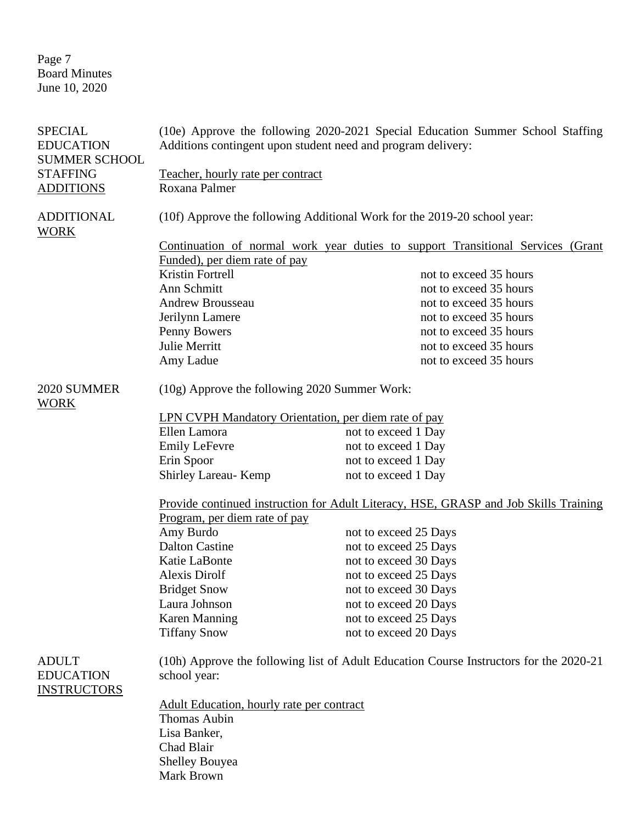Page 7 Board Minutes June 10, 2020

| <b>SPECIAL</b><br><b>EDUCATION</b><br><b>SUMMER SCHOOL</b> |                                                                                                        | (10e) Approve the following 2020-2021 Special Education Summer School Staffing<br>Additions contingent upon student need and program delivery: |  |  |
|------------------------------------------------------------|--------------------------------------------------------------------------------------------------------|------------------------------------------------------------------------------------------------------------------------------------------------|--|--|
| <b>STAFFING</b>                                            | Teacher, hourly rate per contract                                                                      |                                                                                                                                                |  |  |
| <b>ADDITIONS</b>                                           | Roxana Palmer                                                                                          |                                                                                                                                                |  |  |
| <b>ADDITIONAL</b><br><b>WORK</b>                           | (10f) Approve the following Additional Work for the 2019-20 school year:                               |                                                                                                                                                |  |  |
|                                                            |                                                                                                        | Continuation of normal work year duties to support Transitional Services (Grant                                                                |  |  |
|                                                            | Funded), per diem rate of pay                                                                          |                                                                                                                                                |  |  |
|                                                            | Kristin Fortrell                                                                                       | not to exceed 35 hours                                                                                                                         |  |  |
|                                                            | Ann Schmitt                                                                                            | not to exceed 35 hours                                                                                                                         |  |  |
|                                                            | <b>Andrew Brousseau</b>                                                                                | not to exceed 35 hours                                                                                                                         |  |  |
|                                                            | Jerilynn Lamere                                                                                        | not to exceed 35 hours                                                                                                                         |  |  |
|                                                            | Penny Bowers                                                                                           | not to exceed 35 hours                                                                                                                         |  |  |
|                                                            | <b>Julie Merritt</b>                                                                                   | not to exceed 35 hours                                                                                                                         |  |  |
|                                                            | Amy Ladue                                                                                              | not to exceed 35 hours                                                                                                                         |  |  |
| 2020 SUMMER<br><b>WORK</b>                                 | (10g) Approve the following 2020 Summer Work:                                                          |                                                                                                                                                |  |  |
|                                                            | LPN CVPH Mandatory Orientation, per diem rate of pay                                                   |                                                                                                                                                |  |  |
|                                                            | Ellen Lamora<br>not to exceed 1 Day                                                                    |                                                                                                                                                |  |  |
|                                                            | <b>Emily LeFevre</b>                                                                                   | not to exceed 1 Day                                                                                                                            |  |  |
|                                                            | Erin Spoor                                                                                             | not to exceed 1 Day                                                                                                                            |  |  |
|                                                            | <b>Shirley Lareau- Kemp</b>                                                                            | not to exceed 1 Day                                                                                                                            |  |  |
|                                                            | Provide continued instruction for Adult Literacy, HSE, GRASP and Job Skills Training                   |                                                                                                                                                |  |  |
|                                                            | Program, per diem rate of pay                                                                          |                                                                                                                                                |  |  |
|                                                            | Amy Burdo                                                                                              | not to exceed 25 Days                                                                                                                          |  |  |
|                                                            | <b>Dalton Castine</b>                                                                                  | not to exceed 25 Days                                                                                                                          |  |  |
|                                                            | Katie LaBonte                                                                                          | not to exceed 30 Days                                                                                                                          |  |  |
|                                                            | <b>Alexis Dirolf</b>                                                                                   | not to exceed 25 Days                                                                                                                          |  |  |
|                                                            | <b>Bridget Snow</b>                                                                                    | not to exceed 30 Days                                                                                                                          |  |  |
|                                                            | Laura Johnson                                                                                          | not to exceed 20 Days                                                                                                                          |  |  |
|                                                            | <b>Karen Manning</b>                                                                                   | not to exceed 25 Days                                                                                                                          |  |  |
|                                                            | <b>Tiffany Snow</b>                                                                                    | not to exceed 20 Days                                                                                                                          |  |  |
| <b>ADULT</b><br><b>EDUCATION</b><br><b>INSTRUCTORS</b>     | (10h) Approve the following list of Adult Education Course Instructors for the 2020-21<br>school year: |                                                                                                                                                |  |  |
|                                                            | <b>Adult Education, hourly rate per contract</b>                                                       |                                                                                                                                                |  |  |
|                                                            | <b>Thomas Aubin</b>                                                                                    |                                                                                                                                                |  |  |
|                                                            | Lisa Banker,                                                                                           |                                                                                                                                                |  |  |
|                                                            | Chad Blair                                                                                             |                                                                                                                                                |  |  |
|                                                            | <b>Shelley Bouyea</b>                                                                                  |                                                                                                                                                |  |  |
|                                                            | Mark Brown                                                                                             |                                                                                                                                                |  |  |
|                                                            |                                                                                                        |                                                                                                                                                |  |  |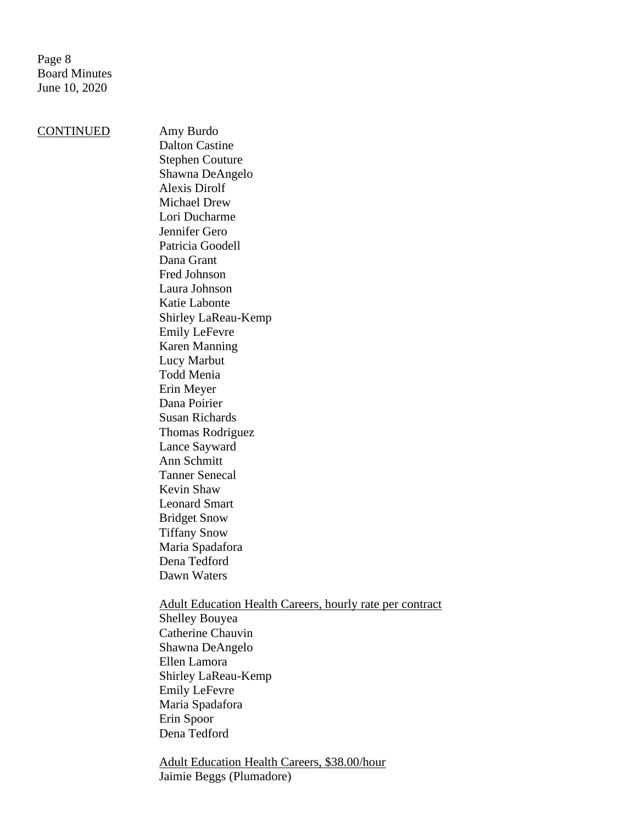Page 8 Board Minutes June 10, 2020

CONTINUED Amy Burdo

Dalton Castine Stephen Couture Shawna DeAngelo Alexis Dirolf Michael Drew Lori Ducharme Jennifer Gero Patricia Goodell Dana Grant Fred Johnson Laura Johnson Katie Labonte Shirley LaReau-Kemp Emily LeFevre Karen Manning Lucy Marbut Todd Menia Erin Meyer Dana Poirier Susan Richards Thomas Rodriguez Lance Sayward Ann Schmitt Tanner Senecal Kevin Shaw Leonard Smart Bridget Snow Tiffany Snow Maria Spadafora Dena Tedford Dawn Waters Adult Education Health Careers, hourly rate per contract Shelley Bouyea Catherine Chauvin Shawna DeAngelo

Ellen Lamora Shirley LaReau-Kemp Emily LeFevre

Maria Spadafora

Erin Spoor Dena Tedford

Adult Education Health Careers, \$38.00/hour Jaimie Beggs (Plumadore)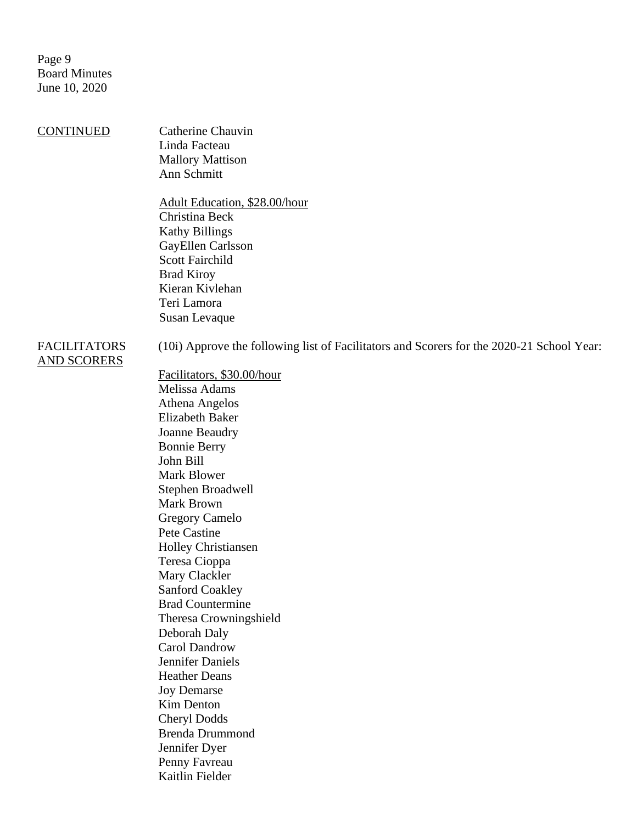Page 9 Board Minutes June 10, 2020

CONTINUED Catherine Chauvin Linda Facteau Mallory Mattison Ann Schmitt

> Adult Education, \$28.00/hour Christina Beck Kathy Billings GayEllen Carlsson Scott Fairchild Brad Kiroy Kieran Kivlehan Teri Lamora Susan Levaque

## FACILITATORS AND SCORERS

(10i) Approve the following list of Facilitators and Scorers for the 2020-21 School Year:

Facilitators, \$30.00/hour Melissa Adams Athena Angelos Elizabeth Baker Joanne Beaudry Bonnie Berry John Bill Mark Blower Stephen Broadwell Mark Brown Gregory Camelo Pete Castine Holley Christiansen Teresa Cioppa Mary Clackler Sanford Coakley Brad Countermine Theresa Crowningshield Deborah Daly Carol Dandrow Jennifer Daniels Heather Deans Joy Demarse Kim Denton Cheryl Dodds Brenda Drummond Jennifer Dyer Penny Favreau Kaitlin Fielder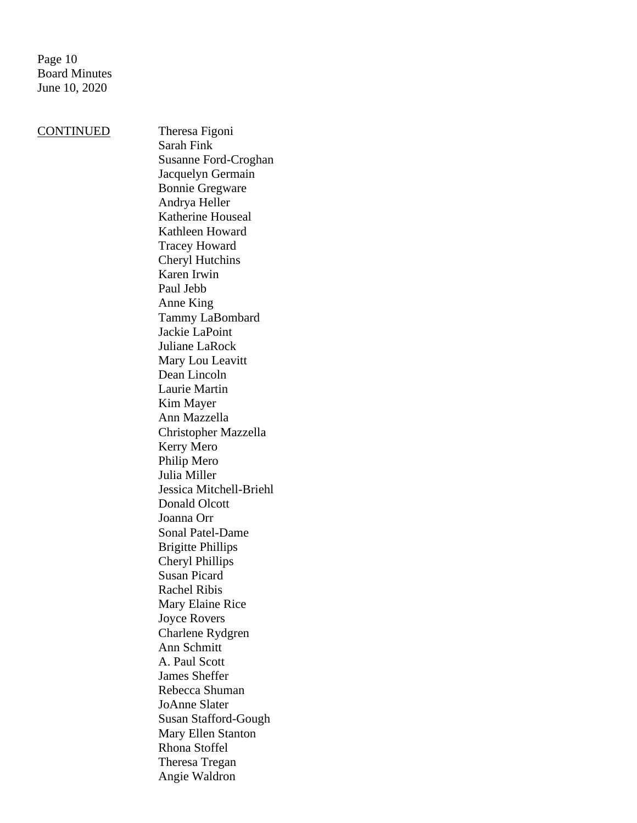Page 10 Board Minutes June 10, 2020

CONTINUED Theresa Figoni

Sarah Fink Susanne Ford-Croghan Jacquelyn Germain Bonnie Gregware Andrya Heller Katherine Houseal Kathleen Howard Tracey Howard Cheryl Hutchins Karen Irwin Paul Jebb Anne King Tammy LaBombard Jackie LaPoint Juliane LaRock Mary Lou Leavitt Dean Lincoln Laurie Martin Kim Mayer Ann Mazzella Christopher Mazzella Kerry Mero Philip Mero Julia Miller Jessica Mitchell-Briehl Donald Olcott Joanna Orr Sonal Patel-Dame Brigitte Phillips Cheryl Phillips Susan Picard Rachel Ribis Mary Elaine Rice Joyce Rovers Charlene Rydgren Ann Schmitt A. Paul Scott James Sheffer Rebecca Shuman JoAnne Slater Susan Stafford-Gough Mary Ellen Stanton Rhona Stoffel Theresa Tregan Angie Waldron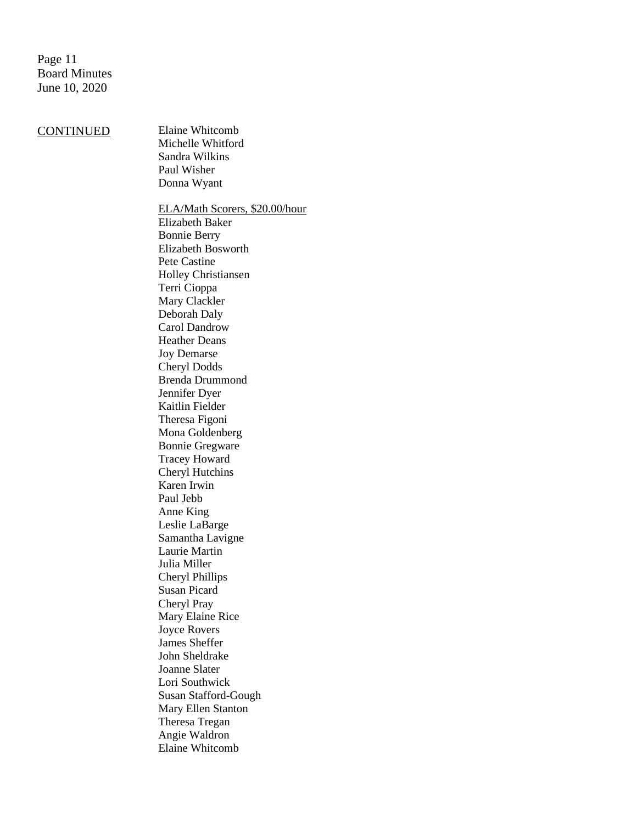Page 11 Board Minutes June 10, 2020

## CONTINUED Elaine Whitcomb

Michelle Whitford Sandra Wilkins Paul Wisher Donna Wyant

ELA/Math Scorers, \$20.00/hour Elizabeth Baker Bonnie Berry Elizabeth Bosworth Pete Castine Holley Christiansen Terri Cioppa Mary Clackler Deborah Daly Carol Dandrow Heather Deans Joy Demarse Cheryl Dodds Brenda Drummond Jennifer Dyer Kaitlin Fielder Theresa Figoni Mona Goldenberg Bonnie Gregware Tracey Howard Cheryl Hutchins Karen Irwin Paul Jebb Anne King Leslie LaBarge Samantha Lavigne Laurie Martin Julia Miller Cheryl Phillips Susan Picard Cheryl Pray Mary Elaine Rice Joyce Rovers James Sheffer John Sheldrake Joanne Slater Lori Southwick Susan Stafford-Gough Mary Ellen Stanton Theresa Tregan Angie Waldron Elaine Whitcomb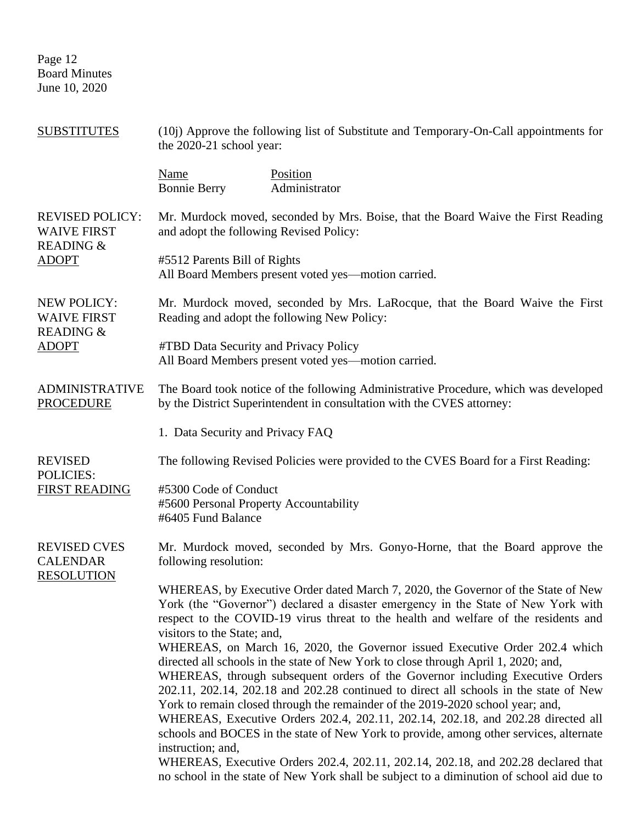Page 12 Board Minutes June 10, 2020

| <b>SUBSTITUTES</b>                                                                   | (10j) Approve the following list of Substitute and Temporary-On-Call appointments for<br>the 2020-21 school year: |                                                                                                                                                                                                                                                                                                                                                                                                                                                                                                                                                                                                              |  |
|--------------------------------------------------------------------------------------|-------------------------------------------------------------------------------------------------------------------|--------------------------------------------------------------------------------------------------------------------------------------------------------------------------------------------------------------------------------------------------------------------------------------------------------------------------------------------------------------------------------------------------------------------------------------------------------------------------------------------------------------------------------------------------------------------------------------------------------------|--|
|                                                                                      | <b>Name</b><br><b>Bonnie Berry</b>                                                                                | Position<br>Administrator                                                                                                                                                                                                                                                                                                                                                                                                                                                                                                                                                                                    |  |
| <b>REVISED POLICY:</b><br><b>WAIVE FIRST</b><br><b>READING &amp;</b><br><b>ADOPT</b> | and adopt the following Revised Policy:                                                                           | Mr. Murdock moved, seconded by Mrs. Boise, that the Board Waive the First Reading                                                                                                                                                                                                                                                                                                                                                                                                                                                                                                                            |  |
|                                                                                      | #5512 Parents Bill of Rights                                                                                      | All Board Members present voted yes—motion carried.                                                                                                                                                                                                                                                                                                                                                                                                                                                                                                                                                          |  |
| NEW POLICY:<br><b>WAIVE FIRST</b><br><b>READING &amp;</b><br><b>ADOPT</b>            |                                                                                                                   | Mr. Murdock moved, seconded by Mrs. LaRocque, that the Board Waive the First<br>Reading and adopt the following New Policy:                                                                                                                                                                                                                                                                                                                                                                                                                                                                                  |  |
|                                                                                      | #TBD Data Security and Privacy Policy                                                                             | All Board Members present voted yes—motion carried.                                                                                                                                                                                                                                                                                                                                                                                                                                                                                                                                                          |  |
| <b>ADMINISTRATIVE</b><br><b>PROCEDURE</b>                                            |                                                                                                                   | The Board took notice of the following Administrative Procedure, which was developed<br>by the District Superintendent in consultation with the CVES attorney:                                                                                                                                                                                                                                                                                                                                                                                                                                               |  |
|                                                                                      | 1. Data Security and Privacy FAQ                                                                                  |                                                                                                                                                                                                                                                                                                                                                                                                                                                                                                                                                                                                              |  |
| <b>REVISED</b><br>POLICIES:                                                          |                                                                                                                   | The following Revised Policies were provided to the CVES Board for a First Reading:                                                                                                                                                                                                                                                                                                                                                                                                                                                                                                                          |  |
| <b>FIRST READING</b>                                                                 | #5300 Code of Conduct<br>#5600 Personal Property Accountability<br>#6405 Fund Balance                             |                                                                                                                                                                                                                                                                                                                                                                                                                                                                                                                                                                                                              |  |
| <b>REVISED CVES</b><br><b>CALENDAR</b><br><b>RESOLUTION</b>                          | following resolution:                                                                                             | Mr. Murdock moved, seconded by Mrs. Gonyo-Horne, that the Board approve the                                                                                                                                                                                                                                                                                                                                                                                                                                                                                                                                  |  |
|                                                                                      | visitors to the State; and,                                                                                       | WHEREAS, by Executive Order dated March 7, 2020, the Governor of the State of New<br>York (the "Governor") declared a disaster emergency in the State of New York with<br>respect to the COVID-19 virus threat to the health and welfare of the residents and<br>WHEREAS, on March 16, 2020, the Governor issued Executive Order 202.4 which<br>directed all schools in the state of New York to close through April 1, 2020; and,<br>WHEREAS, through subsequent orders of the Governor including Executive Orders<br>202.11, 202.14, 202.18 and 202.28 continued to direct all schools in the state of New |  |
|                                                                                      | instruction; and,                                                                                                 | York to remain closed through the remainder of the 2019-2020 school year; and,<br>WHEREAS, Executive Orders 202.4, 202.11, 202.14, 202.18, and 202.28 directed all<br>schools and BOCES in the state of New York to provide, among other services, alternate<br>WHEREAS, Executive Orders 202.4, 202.11, 202.14, 202.18, and 202.28 declared that                                                                                                                                                                                                                                                            |  |
|                                                                                      |                                                                                                                   | no school in the state of New York shall be subject to a diminution of school aid due to                                                                                                                                                                                                                                                                                                                                                                                                                                                                                                                     |  |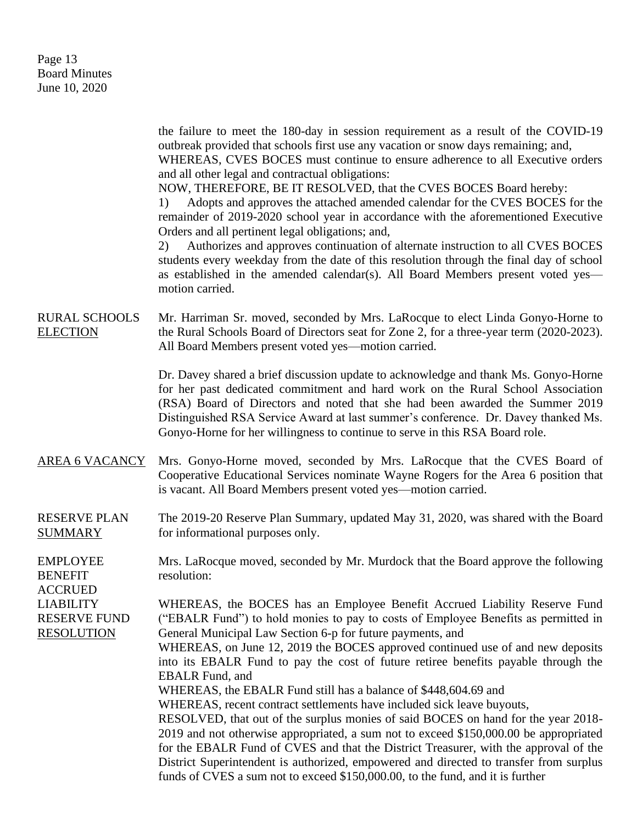Page 13 Board Minutes June 10, 2020

the failure to meet the 180-day in session requirement as a result of the COVID-19 outbreak provided that schools first use any vacation or snow days remaining; and, WHEREAS, CVES BOCES must continue to ensure adherence to all Executive orders and all other legal and contractual obligations: NOW, THEREFORE, BE IT RESOLVED, that the CVES BOCES Board hereby: 1) Adopts and approves the attached amended calendar for the CVES BOCES for the remainder of 2019-2020 school year in accordance with the aforementioned Executive Orders and all pertinent legal obligations; and, 2) Authorizes and approves continuation of alternate instruction to all CVES BOCES students every weekday from the date of this resolution through the final day of school as established in the amended calendar(s). All Board Members present voted yes motion carried. RURAL SCHOOLS ELECTION Mr. Harriman Sr. moved, seconded by Mrs. LaRocque to elect Linda Gonyo-Horne to the Rural Schools Board of Directors seat for Zone 2, for a three-year term (2020-2023). All Board Members present voted yes—motion carried. Dr. Davey shared a brief discussion update to acknowledge and thank Ms. Gonyo-Horne for her past dedicated commitment and hard work on the Rural School Association (RSA) Board of Directors and noted that she had been awarded the Summer 2019 Distinguished RSA Service Award at last summer's conference. Dr. Davey thanked Ms. Gonyo-Horne for her willingness to continue to serve in this RSA Board role. AREA 6 VACANCY Mrs. Gonyo-Horne moved, seconded by Mrs. LaRocque that the CVES Board of Cooperative Educational Services nominate Wayne Rogers for the Area 6 position that is vacant. All Board Members present voted yes—motion carried. RESERVE PLAN SUMMARY The 2019-20 Reserve Plan Summary, updated May 31, 2020, was shared with the Board for informational purposes only. EMPLOYEE BENEFIT ACCRUED LIABILITY RESERVE FUND RESOLUTION Mrs. LaRocque moved, seconded by Mr. Murdock that the Board approve the following resolution: WHEREAS, the BOCES has an Employee Benefit Accrued Liability Reserve Fund ("EBALR Fund") to hold monies to pay to costs of Employee Benefits as permitted in General Municipal Law Section 6-p for future payments, and WHEREAS, on June 12, 2019 the BOCES approved continued use of and new deposits into its EBALR Fund to pay the cost of future retiree benefits payable through the EBALR Fund, and WHEREAS, the EBALR Fund still has a balance of \$448,604.69 and WHEREAS, recent contract settlements have included sick leave buyouts, RESOLVED, that out of the surplus monies of said BOCES on hand for the year 2018- 2019 and not otherwise appropriated, a sum not to exceed \$150,000.00 be appropriated for the EBALR Fund of CVES and that the District Treasurer, with the approval of the District Superintendent is authorized, empowered and directed to transfer from surplus

funds of CVES a sum not to exceed \$150,000.00, to the fund, and it is further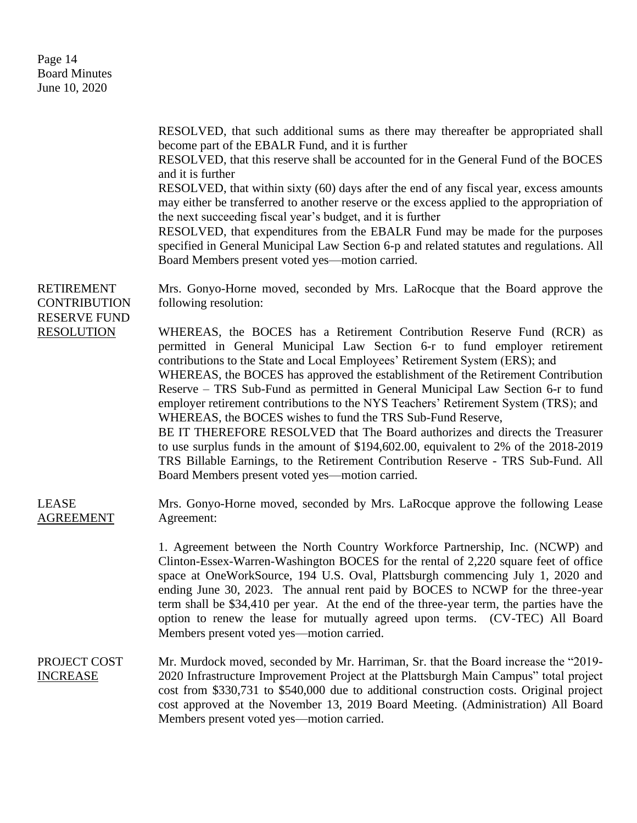| Page 14              |
|----------------------|
| <b>Board Minutes</b> |
| June 10, 2020        |

|                                                                 | RESOLVED, that such additional sums as there may thereafter be appropriated shall<br>become part of the EBALR Fund, and it is further<br>RESOLVED, that this reserve shall be accounted for in the General Fund of the BOCES<br>and it is further<br>RESOLVED, that within sixty (60) days after the end of any fiscal year, excess amounts<br>may either be transferred to another reserve or the excess applied to the appropriation of<br>the next succeeding fiscal year's budget, and it is further<br>RESOLVED, that expenditures from the EBALR Fund may be made for the purposes<br>specified in General Municipal Law Section 6-p and related statutes and regulations. All<br>Board Members present voted yes—motion carried.                                                                                                                                             |
|-----------------------------------------------------------------|-------------------------------------------------------------------------------------------------------------------------------------------------------------------------------------------------------------------------------------------------------------------------------------------------------------------------------------------------------------------------------------------------------------------------------------------------------------------------------------------------------------------------------------------------------------------------------------------------------------------------------------------------------------------------------------------------------------------------------------------------------------------------------------------------------------------------------------------------------------------------------------|
| <b>RETIREMENT</b><br><b>CONTRIBUTION</b><br><b>RESERVE FUND</b> | Mrs. Gonyo-Horne moved, seconded by Mrs. LaRocque that the Board approve the<br>following resolution:                                                                                                                                                                                                                                                                                                                                                                                                                                                                                                                                                                                                                                                                                                                                                                               |
| <b>RESOLUTION</b>                                               | WHEREAS, the BOCES has a Retirement Contribution Reserve Fund (RCR) as<br>permitted in General Municipal Law Section 6-r to fund employer retirement<br>contributions to the State and Local Employees' Retirement System (ERS); and<br>WHEREAS, the BOCES has approved the establishment of the Retirement Contribution<br>Reserve – TRS Sub-Fund as permitted in General Municipal Law Section 6-r to fund<br>employer retirement contributions to the NYS Teachers' Retirement System (TRS); and<br>WHEREAS, the BOCES wishes to fund the TRS Sub-Fund Reserve,<br>BE IT THEREFORE RESOLVED that The Board authorizes and directs the Treasurer<br>to use surplus funds in the amount of \$194,602.00, equivalent to 2% of the 2018-2019<br>TRS Billable Earnings, to the Retirement Contribution Reserve - TRS Sub-Fund. All<br>Board Members present voted yes—motion carried. |
| <b>LEASE</b><br><b>AGREEMENT</b>                                | Mrs. Gonyo-Horne moved, seconded by Mrs. LaRocque approve the following Lease<br>Agreement:                                                                                                                                                                                                                                                                                                                                                                                                                                                                                                                                                                                                                                                                                                                                                                                         |
|                                                                 | 1. Agreement between the North Country Workforce Partnership, Inc. (NCWP) and<br>Clinton-Essex-Warren-Washington BOCES for the rental of 2,220 square feet of office<br>space at OneWorkSource, 194 U.S. Oval, Plattsburgh commencing July 1, 2020 and<br>ending June 30, 2023. The annual rent paid by BOCES to NCWP for the three-year<br>term shall be \$34,410 per year. At the end of the three-year term, the parties have the<br>option to renew the lease for mutually agreed upon terms. (CV-TEC) All Board<br>Members present voted yes—motion carried.                                                                                                                                                                                                                                                                                                                   |
| PROJECT COST<br><b>INCREASE</b>                                 | Mr. Murdock moved, seconded by Mr. Harriman, Sr. that the Board increase the "2019-<br>2020 Infrastructure Improvement Project at the Plattsburgh Main Campus" total project<br>cost from \$330,731 to \$540,000 due to additional construction costs. Original project<br>cost approved at the November 13, 2019 Board Meeting. (Administration) All Board<br>Members present voted yes—motion carried.                                                                                                                                                                                                                                                                                                                                                                                                                                                                            |
|                                                                 |                                                                                                                                                                                                                                                                                                                                                                                                                                                                                                                                                                                                                                                                                                                                                                                                                                                                                     |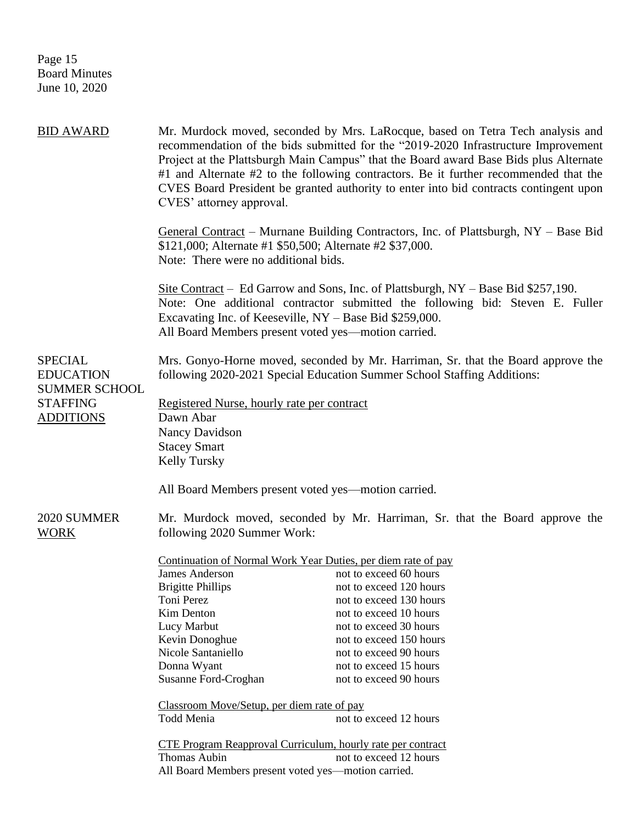Page 15 Board Minutes June 10, 2020

| BID AWARD                                                  | CVES' attorney approval.                                                                                                                                    | Mr. Murdock moved, seconded by Mrs. LaRocque, based on Tetra Tech analysis and<br>recommendation of the bids submitted for the "2019-2020 Infrastructure Improvement<br>Project at the Plattsburgh Main Campus" that the Board award Base Bids plus Alternate<br>#1 and Alternate #2 to the following contractors. Be it further recommended that the<br>CVES Board President be granted authority to enter into bid contracts contingent upon |  |
|------------------------------------------------------------|-------------------------------------------------------------------------------------------------------------------------------------------------------------|------------------------------------------------------------------------------------------------------------------------------------------------------------------------------------------------------------------------------------------------------------------------------------------------------------------------------------------------------------------------------------------------------------------------------------------------|--|
|                                                            | \$121,000; Alternate #1 \$50,500; Alternate #2 \$37,000.<br>Note: There were no additional bids.                                                            | General Contract – Murnane Building Contractors, Inc. of Plattsburgh, NY – Base Bid                                                                                                                                                                                                                                                                                                                                                            |  |
|                                                            | Excavating Inc. of Keeseville, $NY - Base$ Bid \$259,000.<br>All Board Members present voted yes—motion carried.                                            | Site Contract – Ed Garrow and Sons, Inc. of Plattsburgh, NY – Base Bid \$257,190.<br>Note: One additional contractor submitted the following bid: Steven E. Fuller                                                                                                                                                                                                                                                                             |  |
| <b>SPECIAL</b><br><b>EDUCATION</b><br><b>SUMMER SCHOOL</b> | Mrs. Gonyo-Horne moved, seconded by Mr. Harriman, Sr. that the Board approve the<br>following 2020-2021 Special Education Summer School Staffing Additions: |                                                                                                                                                                                                                                                                                                                                                                                                                                                |  |
| <b>STAFFING</b>                                            | Registered Nurse, hourly rate per contract                                                                                                                  |                                                                                                                                                                                                                                                                                                                                                                                                                                                |  |
| <b>ADDITIONS</b>                                           | Dawn Abar                                                                                                                                                   |                                                                                                                                                                                                                                                                                                                                                                                                                                                |  |
|                                                            | Nancy Davidson                                                                                                                                              |                                                                                                                                                                                                                                                                                                                                                                                                                                                |  |
|                                                            | <b>Stacey Smart</b>                                                                                                                                         |                                                                                                                                                                                                                                                                                                                                                                                                                                                |  |
|                                                            | Kelly Tursky                                                                                                                                                |                                                                                                                                                                                                                                                                                                                                                                                                                                                |  |
|                                                            | All Board Members present voted yes—motion carried.                                                                                                         |                                                                                                                                                                                                                                                                                                                                                                                                                                                |  |
| 2020 SUMMER<br><u>WORK</u>                                 | following 2020 Summer Work:                                                                                                                                 | Mr. Murdock moved, seconded by Mr. Harriman, Sr. that the Board approve the                                                                                                                                                                                                                                                                                                                                                                    |  |
|                                                            | Continuation of Normal Work Year Duties, per diem rate of pay                                                                                               |                                                                                                                                                                                                                                                                                                                                                                                                                                                |  |
|                                                            | <b>James Anderson</b>                                                                                                                                       | not to exceed 60 hours                                                                                                                                                                                                                                                                                                                                                                                                                         |  |
|                                                            | <b>Brigitte Phillips</b>                                                                                                                                    | not to exceed 120 hours                                                                                                                                                                                                                                                                                                                                                                                                                        |  |
|                                                            | Toni Perez                                                                                                                                                  | not to exceed 130 hours                                                                                                                                                                                                                                                                                                                                                                                                                        |  |
|                                                            | Kim Denton                                                                                                                                                  | not to exceed 10 hours                                                                                                                                                                                                                                                                                                                                                                                                                         |  |
|                                                            | Lucy Marbut                                                                                                                                                 | not to exceed 30 hours                                                                                                                                                                                                                                                                                                                                                                                                                         |  |
|                                                            | Kevin Donoghue                                                                                                                                              | not to exceed 150 hours                                                                                                                                                                                                                                                                                                                                                                                                                        |  |
|                                                            | Nicole Santaniello                                                                                                                                          | not to exceed 90 hours                                                                                                                                                                                                                                                                                                                                                                                                                         |  |
|                                                            | Donna Wyant                                                                                                                                                 | not to exceed 15 hours                                                                                                                                                                                                                                                                                                                                                                                                                         |  |
|                                                            | Susanne Ford-Croghan                                                                                                                                        | not to exceed 90 hours                                                                                                                                                                                                                                                                                                                                                                                                                         |  |
|                                                            | Classroom Move/Setup, per diem rate of pay                                                                                                                  |                                                                                                                                                                                                                                                                                                                                                                                                                                                |  |
|                                                            | Todd Menia                                                                                                                                                  | not to exceed 12 hours                                                                                                                                                                                                                                                                                                                                                                                                                         |  |
|                                                            | CTE Program Reapproval Curriculum, hourly rate per contract                                                                                                 |                                                                                                                                                                                                                                                                                                                                                                                                                                                |  |
|                                                            | Thomas Aubin                                                                                                                                                | not to exceed 12 hours                                                                                                                                                                                                                                                                                                                                                                                                                         |  |
|                                                            | All Board Members present voted yes-motion carried.                                                                                                         |                                                                                                                                                                                                                                                                                                                                                                                                                                                |  |
|                                                            |                                                                                                                                                             |                                                                                                                                                                                                                                                                                                                                                                                                                                                |  |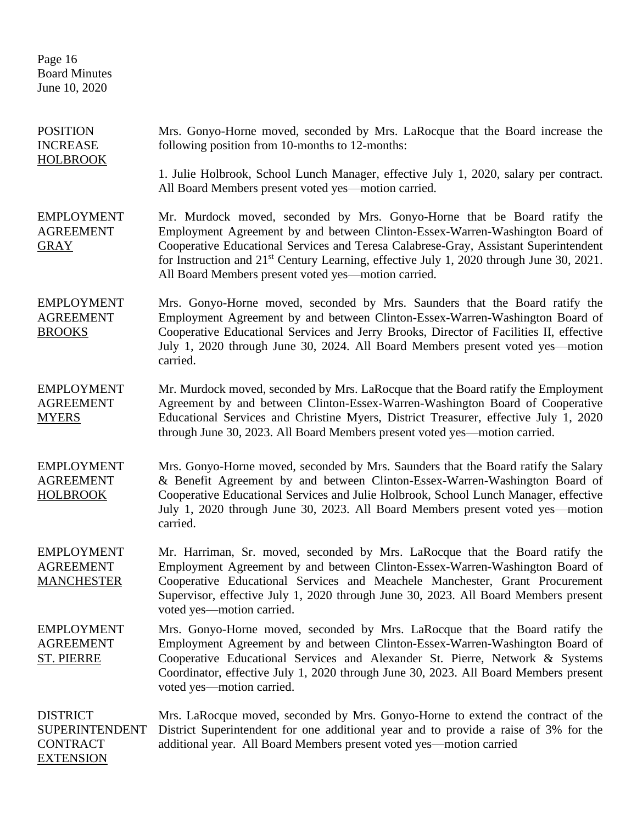Page 16 Board Minutes June 10, 2020

| <b>POSITION</b><br><b>INCREASE</b><br><b>HOLBROOK</b>                           | Mrs. Gonyo-Horne moved, seconded by Mrs. LaRocque that the Board increase the<br>following position from 10-months to 12-months:                                                                                                                                                                                                                                                                                |
|---------------------------------------------------------------------------------|-----------------------------------------------------------------------------------------------------------------------------------------------------------------------------------------------------------------------------------------------------------------------------------------------------------------------------------------------------------------------------------------------------------------|
|                                                                                 | 1. Julie Holbrook, School Lunch Manager, effective July 1, 2020, salary per contract.<br>All Board Members present voted yes—motion carried.                                                                                                                                                                                                                                                                    |
| <b>EMPLOYMENT</b><br><b>AGREEMENT</b><br><b>GRAY</b>                            | Mr. Murdock moved, seconded by Mrs. Gonyo-Horne that be Board ratify the<br>Employment Agreement by and between Clinton-Essex-Warren-Washington Board of<br>Cooperative Educational Services and Teresa Calabrese-Gray, Assistant Superintendent<br>for Instruction and 21 <sup>st</sup> Century Learning, effective July 1, 2020 through June 30, 2021.<br>All Board Members present voted yes—motion carried. |
| <b>EMPLOYMENT</b><br><b>AGREEMENT</b><br><b>BROOKS</b>                          | Mrs. Gonyo-Horne moved, seconded by Mrs. Saunders that the Board ratify the<br>Employment Agreement by and between Clinton-Essex-Warren-Washington Board of<br>Cooperative Educational Services and Jerry Brooks, Director of Facilities II, effective<br>July 1, 2020 through June 30, 2024. All Board Members present voted yes—motion<br>carried.                                                            |
| <b>EMPLOYMENT</b><br><b>AGREEMENT</b><br><b>MYERS</b>                           | Mr. Murdock moved, seconded by Mrs. LaRocque that the Board ratify the Employment<br>Agreement by and between Clinton-Essex-Warren-Washington Board of Cooperative<br>Educational Services and Christine Myers, District Treasurer, effective July 1, 2020<br>through June 30, 2023. All Board Members present voted yes—motion carried.                                                                        |
| <b>EMPLOYMENT</b><br><b>AGREEMENT</b><br><b>HOLBROOK</b>                        | Mrs. Gonyo-Horne moved, seconded by Mrs. Saunders that the Board ratify the Salary<br>& Benefit Agreement by and between Clinton-Essex-Warren-Washington Board of<br>Cooperative Educational Services and Julie Holbrook, School Lunch Manager, effective<br>July 1, 2020 through June 30, 2023. All Board Members present voted yes—motion<br>carried.                                                         |
| <b>EMPLOYMENT</b><br><b>AGREEMENT</b><br><b>MANCHESTER</b>                      | Mr. Harriman, Sr. moved, seconded by Mrs. LaRocque that the Board ratify the<br>Employment Agreement by and between Clinton-Essex-Warren-Washington Board of<br>Cooperative Educational Services and Meachele Manchester, Grant Procurement<br>Supervisor, effective July 1, 2020 through June 30, 2023. All Board Members present<br>voted yes-motion carried.                                                 |
| <b>EMPLOYMENT</b><br><b>AGREEMENT</b><br><b>ST. PIERRE</b>                      | Mrs. Gonyo-Horne moved, seconded by Mrs. LaRocque that the Board ratify the<br>Employment Agreement by and between Clinton-Essex-Warren-Washington Board of<br>Cooperative Educational Services and Alexander St. Pierre, Network & Systems<br>Coordinator, effective July 1, 2020 through June 30, 2023. All Board Members present<br>voted yes-motion carried.                                                |
| <b>DISTRICT</b><br><b>SUPERINTENDENT</b><br><b>CONTRACT</b><br><b>EXTENSION</b> | Mrs. LaRocque moved, seconded by Mrs. Gonyo-Horne to extend the contract of the<br>District Superintendent for one additional year and to provide a raise of 3% for the<br>additional year. All Board Members present voted yes—motion carried                                                                                                                                                                  |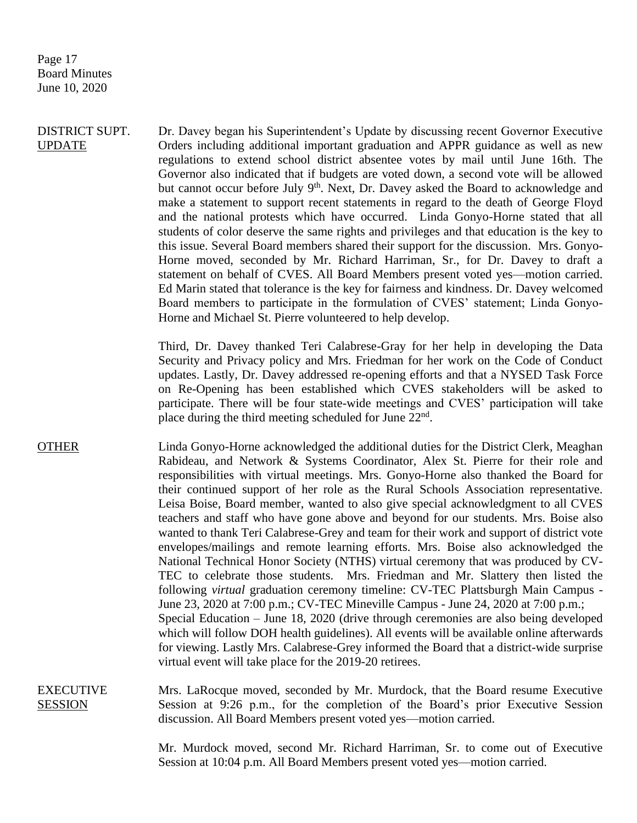Page 17 Board Minutes June 10, 2020

DISTRICT SUPT. UPDATE Dr. Davey began his Superintendent's Update by discussing recent Governor Executive Orders including additional important graduation and APPR guidance as well as new regulations to extend school district absentee votes by mail until June 16th. The Governor also indicated that if budgets are voted down, a second vote will be allowed but cannot occur before July 9<sup>th</sup>. Next, Dr. Davey asked the Board to acknowledge and make a statement to support recent statements in regard to the death of George Floyd and the national protests which have occurred. Linda Gonyo-Horne stated that all students of color deserve the same rights and privileges and that education is the key to this issue. Several Board members shared their support for the discussion. Mrs. Gonyo-Horne moved, seconded by Mr. Richard Harriman, Sr., for Dr. Davey to draft a statement on behalf of CVES. All Board Members present voted yes—motion carried. Ed Marin stated that tolerance is the key for fairness and kindness. Dr. Davey welcomed Board members to participate in the formulation of CVES' statement; Linda Gonyo-Horne and Michael St. Pierre volunteered to help develop.

> Third, Dr. Davey thanked Teri Calabrese-Gray for her help in developing the Data Security and Privacy policy and Mrs. Friedman for her work on the Code of Conduct updates. Lastly, Dr. Davey addressed re-opening efforts and that a NYSED Task Force on Re-Opening has been established which CVES stakeholders will be asked to participate. There will be four state-wide meetings and CVES' participation will take place during the third meeting scheduled for June 22<sup>nd</sup>.

- OTHER Linda Gonyo-Horne acknowledged the additional duties for the District Clerk, Meaghan Rabideau, and Network & Systems Coordinator, Alex St. Pierre for their role and responsibilities with virtual meetings. Mrs. Gonyo-Horne also thanked the Board for their continued support of her role as the Rural Schools Association representative. Leisa Boise, Board member, wanted to also give special acknowledgment to all CVES teachers and staff who have gone above and beyond for our students. Mrs. Boise also wanted to thank Teri Calabrese-Grey and team for their work and support of district vote envelopes/mailings and remote learning efforts. Mrs. Boise also acknowledged the National Technical Honor Society (NTHS) virtual ceremony that was produced by CV-TEC to celebrate those students. Mrs. Friedman and Mr. Slattery then listed the following *virtual* graduation ceremony timeline: CV-TEC Plattsburgh Main Campus - June 23, 2020 at 7:00 p.m.; CV-TEC Mineville Campus - June 24, 2020 at 7:00 p.m.; Special Education – June 18, 2020 (drive through ceremonies are also being developed which will follow DOH health guidelines). All events will be available online afterwards for viewing. Lastly Mrs. Calabrese-Grey informed the Board that a district-wide surprise virtual event will take place for the 2019-20 retirees.
- EXECUTIVE **SESSION** Mrs. LaRocque moved, seconded by Mr. Murdock, that the Board resume Executive Session at 9:26 p.m., for the completion of the Board's prior Executive Session discussion. All Board Members present voted yes—motion carried.

Mr. Murdock moved, second Mr. Richard Harriman, Sr. to come out of Executive Session at 10:04 p.m. All Board Members present voted yes—motion carried.